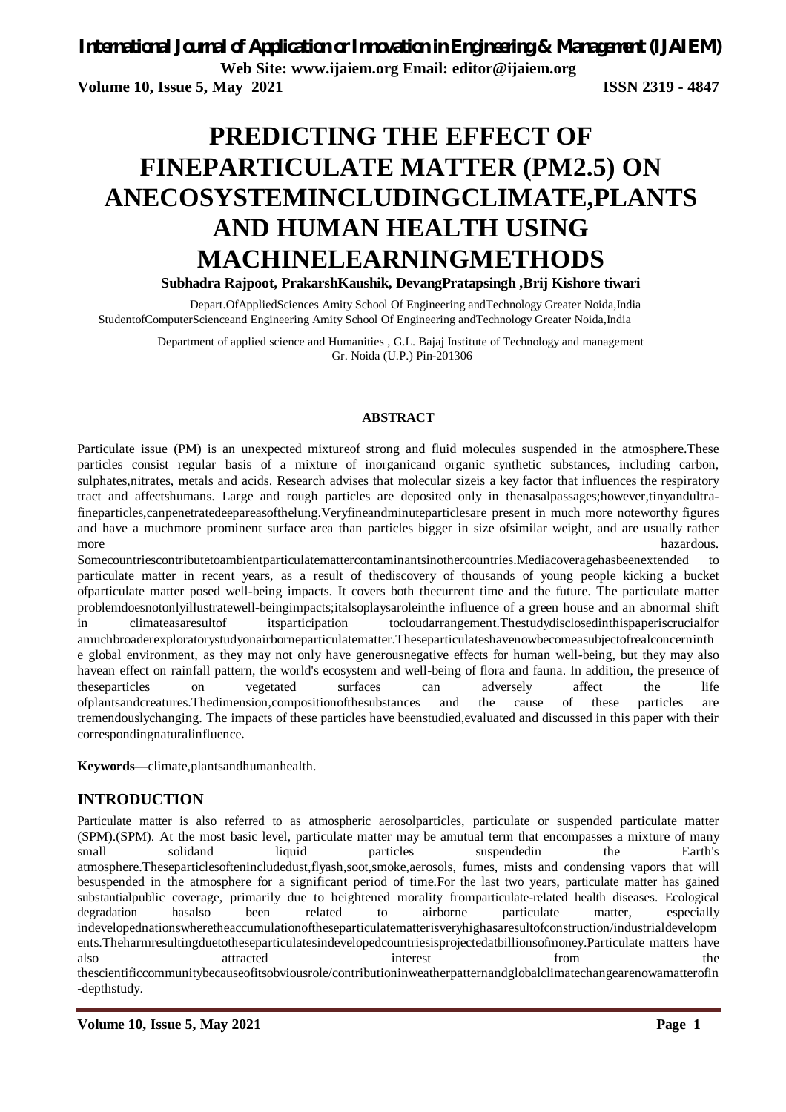**Volume 10, Issue 5, May 2021 ISSN 2319 - 4847**

# **PREDICTING THE EFFECT OF FINEPARTICULATE MATTER (PM2.5) ON ANECOSYSTEMINCLUDINGCLIMATE,PLANTS AND HUMAN HEALTH USING MACHINELEARNINGMETHODS Subhadra Rajpoot, PrakarshKaushik, DevangPratapsingh ,Brij Kishore tiwari**

Depart.OfAppliedSciences Amity School Of Engineering andTechnology Greater Noida,India

StudentofComputerScienceand Engineering Amity School Of Engineering andTechnology Greater Noida,India

Department of applied science and Humanities , G.L. Bajaj Institute of Technology and management Gr. Noida (U.P.) Pin-201306

### **ABSTRACT**

Particulate issue (PM) is an unexpected mixtureof strong and fluid molecules suspended in the atmosphere.These particles consist regular basis of a mixture of inorganicand organic synthetic substances, including carbon, sulphates,nitrates, metals and acids. Research advises that molecular sizeis a key factor that influences the respiratory tract and affectshumans. Large and rough particles are deposited only in thenasalpassages;however,tinyandultrafineparticles,canpenetratedeepareasofthelung.Veryfineandminuteparticlesare present in much more noteworthy figures and have a muchmore prominent surface area than particles bigger in size ofsimilar weight, and are usually rather more hazardous.

Somecountriescontributetoambientparticulatemattercontaminantsinothercountries.Mediacoveragehasbeenextended to particulate matter in recent years, as a result of thediscovery of thousands of young people kicking a bucket ofparticulate matter posed well-being impacts. It covers both thecurrent time and the future. The particulate matter problemdoesnotonlyillustratewell-beingimpacts;italsoplaysaroleinthe influence of a green house and an abnormal shift in climateasaresultof itsparticipation tocloudarrangement.Thestudydisclosedinthispaperiscrucialfor amuchbroaderexploratorystudyonairborneparticulatematter.Theseparticulateshavenowbecomeasubjectofrealconcerninth e global environment, as they may not only have generousnegative effects for human well-being, but they may also havean effect on rainfall pattern, the world's ecosystem and well-being of flora and fauna. In addition, the presence of theseparticles on vegetated surfaces can adversely affect the life ofplantsandcreatures.Thedimension,compositionofthesubstances and the cause of these particles are tremendouslychanging. The impacts of these particles have beenstudied,evaluated and discussed in this paper with their correspondingnaturalinfluence**.**

**Keywords—**climate,plantsandhumanhealth.

# **INTRODUCTION**

Particulate matter is also referred to as atmospheric aerosolparticles, particulate or suspended particulate matter (SPM).(SPM). At the most basic level, particulate matter may be amutual term that encompasses a mixture of many small solidand liquid particles suspendedin the Earth's atmosphere.Theseparticlesoftenincludedust,flyash,soot,smoke,aerosols, fumes, mists and condensing vapors that will besuspended in the atmosphere for a significant period of time.For the last two years, particulate matter has gained substantialpublic coverage, primarily due to heightened morality fromparticulate-related health diseases. Ecological degradation has also been related to airborne particulate matter, especially degradation hasalso been related to airborne particulate matter, especially indevelopednationswheretheaccumulationoftheseparticulatematterisveryhighasaresultofconstruction/industrialdevelopm ents.Theharmresultingduetotheseparticulatesindevelopedcountriesisprojectedatbillionsofmoney.Particulate matters have also attracted interest from the thescientificcommunitybecauseofitsobviousrole/contributioninweatherpatternandglobalclimatechangearenowamatterofin -depthstudy.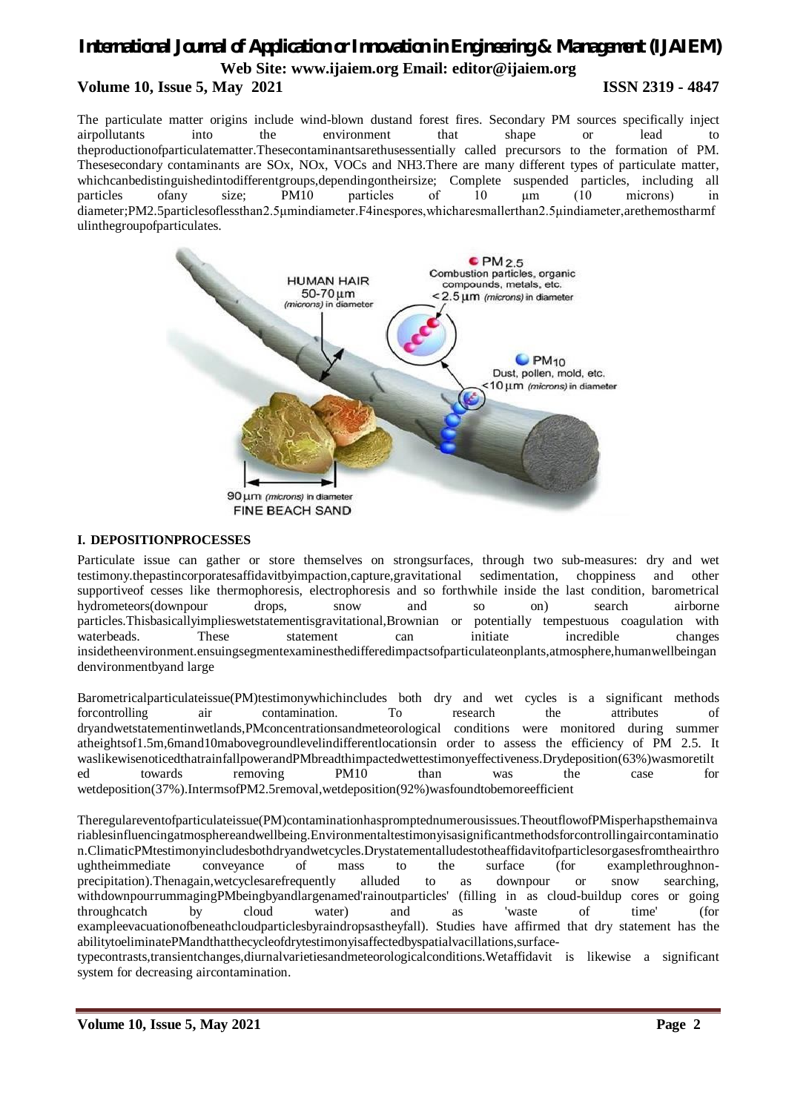# *International Journal of Application or Innovation in Engineering & Management (IJAIEM)* **Web Site: www.ijaiem.org Email: editor@ijaiem.org Volume 10, Issue 5, May 2021 ISSN 2319 - 4847**

The particulate matter origins include wind-blown dustand forest fires. Secondary PM sources specifically inject airpollutants into the environment that shape or lead to theproductionofparticulatematter.Thesecontaminantsarethusessentially called precursors to the formation of PM. Thesesecondary contaminants are SOx, NOx, VOCs and NH3.There are many different types of particulate matter, whichcanbedistinguishedintodifferentgroups,dependingontheirsize; Complete suspended particles, including all particles ofany size; PM10 particles of 10 μm (10 microns) in diameter;PM2.5particlesoflessthan2.5μmindiameter.F4inespores,whicharesmallerthan2.5μindiameter,arethemostharmf ulinthegroupofparticulates.



### **I. DEPOSITIONPROCESSES**

Particulate issue can gather or store themselves on strongsurfaces, through two sub-measures: dry and wet testimony.thepastincorporatesaffidavitbyimpaction,capture,gravitational sedimentation, choppiness and other supportiveof cesses like thermophoresis, electrophoresis and so forthwhile inside the last condition, barometrical hydrometeors(downpour drops, snow and so on) search airborne particles.Thisbasicallyimplieswetstatementisgravitational,Brownian or potentially tempestuous coagulation with waterbeads. These statement can initiate incredible changes insidetheenvironment.ensuingsegmentexaminesthedifferedimpactsofparticulateonplants,atmosphere,humanwellbeingan denvironmentbyand large

Barometricalparticulateissue(PM)testimonywhichincludes both dry and wet cycles is a significant methods forcontrolling air contamination. To research the attributes of dryandwetstatementinwetlands,PMconcentrationsandmeteorological conditions were monitored during summer atheightsof1.5m,6mand10mabovegroundlevelindifferentlocationsin order to assess the efficiency of PM 2.5. It waslikewisenoticedthatrainfallpowerandPMbreadthimpactedwettestimonyeffectiveness.Drydeposition(63%)wasmoretilt ed towards removing PM10 than was the case for wetdeposition(37%).IntermsofPM2.5removal,wetdeposition(92%)wasfoundtobemoreefficient

Theregulareventofparticulateissue(PM)contaminationhaspromptednumerousissues.TheoutflowofPMisperhapsthemainva riablesinfluencingatmosphereandwellbeing.Environmentaltestimonyisasignificantmethodsforcontrollingaircontaminatio n.ClimaticPMtestimonyincludesbothdryandwetcycles.Drystatementalludestotheaffidavitofparticlesorgasesfromtheairthro ughtheimmediate conveyance of mass to the surface (for examplethroughnonprecipitation).Thenagain,wetcyclesarefrequently alluded to as downpour or snow searching, withdownpourrummagingPMbeingbyandlargenamed'rainoutparticles' (filling in as cloud-buildup cores or going throughcatch by cloud water) and as 'waste of time' (for exampleevacuationofbeneathcloudparticlesbyraindropsastheyfall). Studies have affirmed that dry statement has the abilitytoeliminatePMandthatthecycleofdrytestimonyisaffectedbyspatialvacillations,surface-

typecontrasts,transientchanges,diurnalvarietiesandmeteorologicalconditions.Wetaffidavit is likewise a significant system for decreasing aircontamination.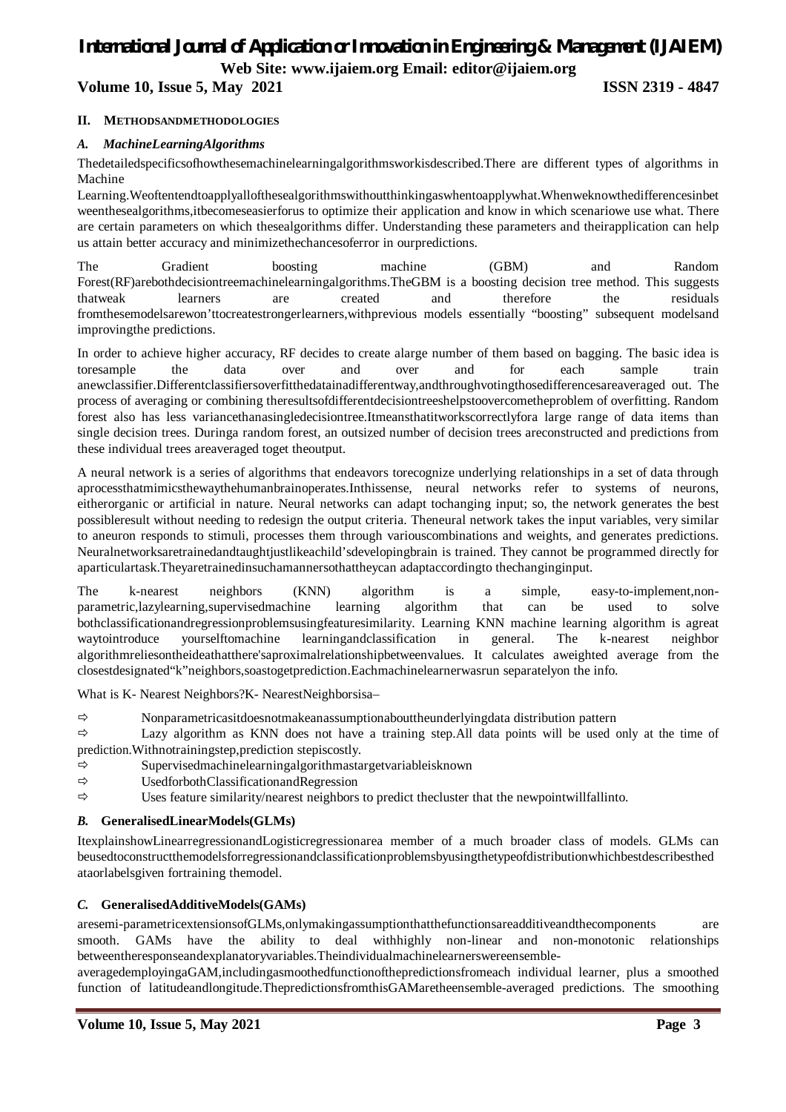**Volume 10, Issue 5, May 2021 ISSN 2319 - 4847**

# **II. METHODSANDMETHODOLOGIES**

## *A. MachineLearningAlgorithms*

Thedetailedspecificsofhowthesemachinelearningalgorithmsworkisdescribed.There are different types of algorithms in Machine

Learning.Weoftentendtoapplyallofthesealgorithmswithoutthinkingaswhentoapplywhat.Whenweknowthedifferencesinbet weenthesealgorithms,itbecomeseasierforus to optimize their application and know in which scenariowe use what. There are certain parameters on which thesealgorithms differ. Understanding these parameters and theirapplication can help us attain better accuracy and minimizethechancesoferror in ourpredictions.

The Gradient boosting machine (GBM) and Random Forest(RF)arebothdecisiontreemachinelearningalgorithms.TheGBM is a boosting decision tree method. This suggests thatweak learners are created and therefore the residuals fromthesemodelsarewon'ttocreatestrongerlearners,withprevious models essentially "boosting" subsequent modelsand improvingthe predictions.

In order to achieve higher accuracy, RF decides to create alarge number of them based on bagging. The basic idea is toresample the data over and over and for each sample train anewclassifier.Differentclassifiersoverfitthedatainadifferentway,andthroughvotingthosedifferencesareaveraged out. The process of averaging or combining theresultsofdifferentdecisiontreeshelpstoovercometheproblem of overfitting. Random forest also has less variancethanasingledecisiontree.Itmeansthatitworkscorrectlyfora large range of data items than single decision trees. Duringa random forest, an outsized number of decision trees areconstructed and predictions from these individual trees areaveraged toget theoutput.

A neural network is a series of algorithms that endeavors torecognize underlying relationships in a set of data through aprocessthatmimicsthewaythehumanbrainoperates.Inthissense, neural networks refer to systems of neurons, eitherorganic or artificial in nature. Neural networks can adapt tochanging input; so, the network generates the best possibleresult without needing to redesign the output criteria. Theneural network takes the input variables, very similar to aneuron responds to stimuli, processes them through variouscombinations and weights, and generates predictions. Neuralnetworksaretrainedandtaughtjustlikeachild'sdevelopingbrain is trained. They cannot be programmed directly for aparticulartask.Theyaretrainedinsuchamannersothattheycan adaptaccordingto thechanginginput.

The k-nearest neighbors (KNN) algorithm is a simple, easy-to-implement,nonparametric,lazylearning,supervisedmachine learning algorithm that can be used to solve bothclassificationandregressionproblemsusingfeaturesimilarity. Learning KNN machine learning algorithm is agreat waytointroduce yourselftomachine learningandclassification in general. The k-nearest neighbor algorithmreliesontheideathatthere'saproximalrelationshipbetweenvalues. It calculates aweighted average from the closestdesignated"k"neighbors,soastogetprediction.Eachmachinelearnerwasrun separatelyon the info.

What is K- Nearest Neighbors?K- NearestNeighborsisa–

 $\Rightarrow$  Nonparametricasitdoesnotmakeanassumptionabouttheunderlyingdata distribution pattern

 $\Rightarrow$  Lazy algorithm as KNN does not have a training step. All data points will be used only at the time of prediction.Withnotrainingstep,prediction stepiscostly.

- $\Rightarrow$  Supervisedmachinelearningalgorithmastargetvariableisknown
- $\Rightarrow$  UsedforbothClassificationandRegression
- $\Rightarrow$  Uses feature similarity/nearest neighbors to predict thecluster that the newpointwillfallinto.

# *B.* **GeneralisedLinearModels(GLMs)**

ItexplainshowLinearregressionandLogisticregressionarea member of a much broader class of models. GLMs can beusedtoconstructthemodelsforregressionandclassificationproblemsbyusingthetypeofdistributionwhichbestdescribesthed ataorlabelsgiven fortraining themodel.

# *C.* **GeneralisedAdditiveModels(GAMs)**

aresemi-parametricextensionsofGLMs,onlymakingassumptionthatthefunctionsareadditiveandthecomponents are smooth. GAMs have the ability to deal withhighly non-linear and non-monotonic relationships betweentheresponseandexplanatoryvariables.Theindividualmachinelearnerswereensemble-

averagedemployingaGAM,includingasmoothedfunctionofthepredictionsfromeach individual learner, plus a smoothed function of latitudeandlongitude.ThepredictionsfromthisGAMaretheensemble-averaged predictions. The smoothing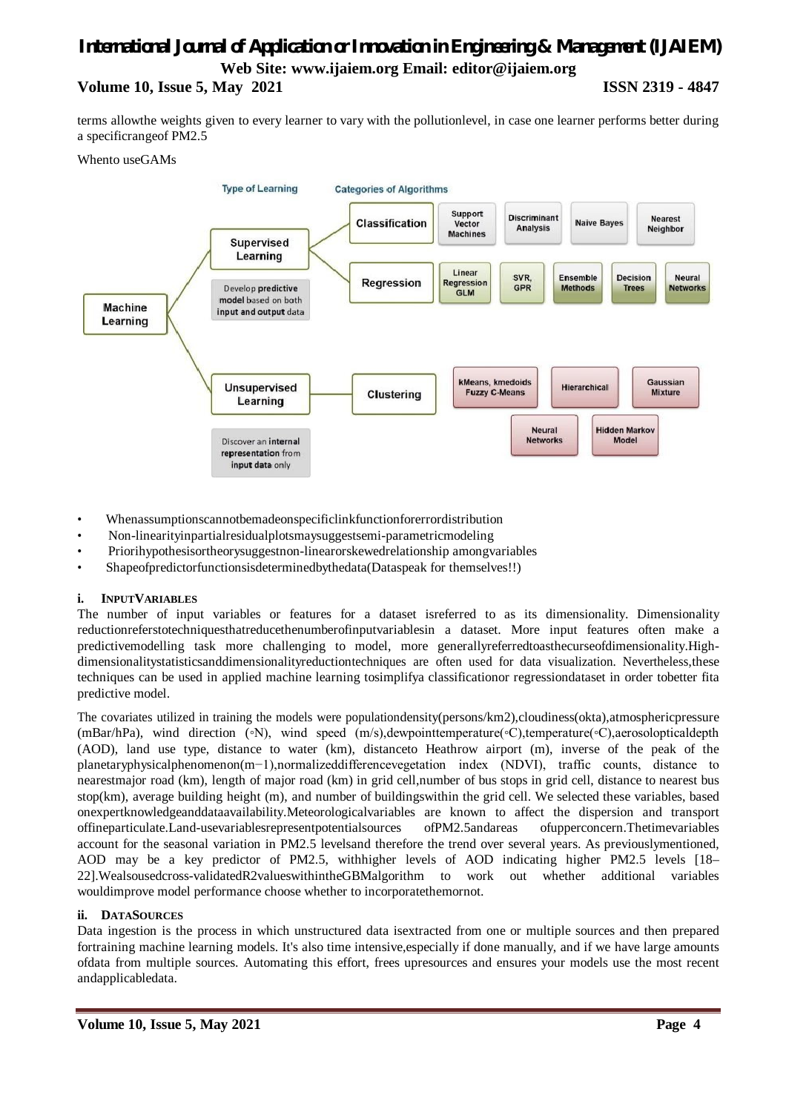# *International Journal of Application or Innovation in Engineering & Management (IJAIEM)* **Web Site: www.ijaiem.org Email: editor@ijaiem.org Volume 10, Issue 5, May 2021 ISSN 2319 - 4847**

terms allowthe weights given to every learner to vary with the pollutionlevel, in case one learner performs better during a specificrangeof PM2.5

### Whento useGAMs



- Whenassumptionscannotbemadeonspecificlinkfunctionforerrordistribution
- Non-linearityinpartialresidualplotsmaysuggestsemi-parametricmodeling
- Priorihypothesisortheorysuggestnon-linearorskewedrelationship amongvariables
- Shapeofpredictorfunctionsisdeterminedbythedata(Dataspeak for themselves!!)

# **i. INPUTVARIABLES**

The number of input variables or features for a dataset isreferred to as its dimensionality. Dimensionality reductionreferstotechniquesthatreducethenumberofinputvariablesin a dataset. More input features often make a predictivemodelling task more challenging to model, more generallyreferredtoasthecurseofdimensionality.Highdimensionalitystatisticsanddimensionalityreductiontechniques are often used for data visualization. Nevertheless,these techniques can be used in applied machine learning tosimplifya classificationor regressiondataset in order tobetter fita predictive model.

The covariates utilized in training the models were populationdensity(persons/km2),cloudiness(okta),atmosphericpressure (mBar/hPa), wind direction (◦N), wind speed (m/s),dewpointtemperature(◦C),temperature(◦C),aerosolopticaldepth (AOD), land use type, distance to water (km), distanceto Heathrow airport (m), inverse of the peak of the planetaryphysicalphenomenon(m−1),normalizeddifferencevegetation index (NDVI), traffic counts, distance to nearestmajor road (km), length of major road (km) in grid cell,number of bus stops in grid cell, distance to nearest bus stop(km), average building height (m), and number of buildingswithin the grid cell. We selected these variables, based onexpertknowledgeanddataavailability.Meteorologicalvariables are known to affect the dispersion and transport offineparticulate.Land-usevariablesrepresentpotentialsources ofPM2.5andareas ofupperconcern.Thetimevariables account for the seasonal variation in PM2.5 levelsand therefore the trend over several years. As previouslymentioned, AOD may be a key predictor of PM2.5, withhigher levels of AOD indicating higher PM2.5 levels [18– 22].Wealsousedcross-validatedR2valueswithintheGBMalgorithm to work out whether additional variables wouldimprove model performance choose whether to incorporatethemornot.

# **ii. DATASOURCES**

Data ingestion is the process in which unstructured data isextracted from one or multiple sources and then prepared fortraining machine learning models. It's also time intensive,especially if done manually, and if we have large amounts ofdata from multiple sources. Automating this effort, frees upresources and ensures your models use the most recent andapplicabledata.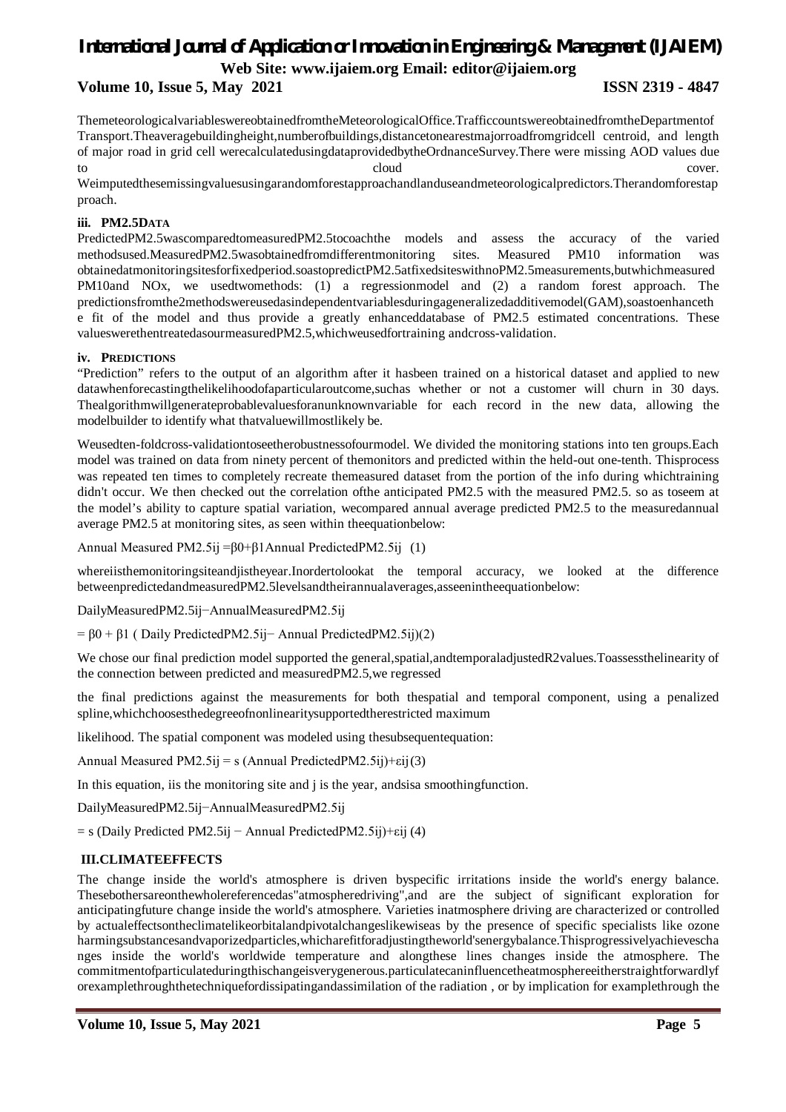# *International Journal of Application or Innovation in Engineering & Management (IJAIEM)*

**Web Site: www.ijaiem.org Email: editor@ijaiem.org**

**Volume 10, Issue 5, May 2021 ISSN 2319 - 4847**

ThemeteorologicalvariableswereobtainedfromtheMeteorologicalOffice.TrafficcountswereobtainedfromtheDepartmentof Transport.Theaveragebuildingheight,numberofbuildings,distancetonearestmajorroadfromgridcell centroid, and length of major road in grid cell werecalculatedusingdataprovidedbytheOrdnanceSurvey.There were missing AOD values due to cloud cover.

Weimputedthesemissingvaluesusingarandomforestapproachandlanduseandmeteorologicalpredictors.Therandomforestap proach.

# **iii. PM2.5DATA**

PredictedPM2.5wascomparedtomeasuredPM2.5tocoachthe models and assess the accuracy of the varied methodsused.MeasuredPM2.5wasobtainedfromdifferentmonitoring sites. Measured PM10 information was obtainedatmonitoringsitesforfixedperiod.soastopredictPM2.5atfixedsiteswithnoPM2.5measurements,butwhichmeasured PM10and NOx, we usedtwomethods: (1) a regressionmodel and (2) a random forest approach. The predictionsfromthe2methodswereusedasindependentvariablesduringageneralizedadditivemodel(GAM),soastoenhanceth e fit of the model and thus provide a greatly enhanceddatabase of PM2.5 estimated concentrations. These valueswerethentreatedasourmeasuredPM2.5,whichweusedfortraining andcross-validation.

# **iv. PREDICTIONS**

"Prediction" refers to the output of an algorithm after it hasbeen trained on a historical dataset and applied to new datawhenforecastingthelikelihoodofaparticularoutcome,suchas whether or not a customer will churn in 30 days. Thealgorithmwillgenerateprobablevaluesforanunknownvariable for each record in the new data, allowing the modelbuilder to identify what thatvaluewillmostlikely be.

Weusedten-foldcross-validationtoseetherobustnessofourmodel. We divided the monitoring stations into ten groups.Each model was trained on data from ninety percent of themonitors and predicted within the held-out one-tenth. Thisprocess was repeated ten times to completely recreate themeasured dataset from the portion of the info during whichtraining didn't occur. We then checked out the correlation of the anticipated PM2.5 with the measured PM2.5. so as toseem at the model's ability to capture spatial variation, wecompared annual average predicted PM2.5 to the measuredannual average PM2.5 at monitoring sites, as seen within theequationbelow:

Annual Measured PM2.5ij =β0+β1Annual PredictedPM2.5ij (1)

whereiisthemonitoringsiteandjistheyear.Inordertolookat the temporal accuracy, we looked at the difference betweenpredictedandmeasuredPM2.5levelsandtheirannualaverages,asseenintheequationbelow:

DailyMeasuredPM2.5ij−AnnualMeasuredPM2.5ij

= β0 + β1 ( Daily PredictedPM2.5ij− Annual PredictedPM2.5ij)(2)

We chose our final prediction model supported the general, spatial, and temporaladjusted R2values. Toassessthelinearity of the connection between predicted and measuredPM2.5,we regressed

the final predictions against the measurements for both thespatial and temporal component, using a penalized spline,whichchoosesthedegreeofnonlinearitysupportedtherestricted maximum

likelihood. The spatial component was modeled using thesubsequentequation:

Annual Measured PM2.5ij = s (Annual PredictedPM2.5ij)+εij(3)

In this equation, iis the monitoring site and j is the year, and is a smoothing function.

DailyMeasuredPM2.5ij−AnnualMeasuredPM2.5ij

 $=$  s (Daily Predicted PM2.5ij – Annual PredictedPM2.5ij)+εij (4)

# **III.CLIMATEEFFECTS**

The change inside the world's atmosphere is driven byspecific irritations inside the world's energy balance. Thesebothersareonthewholereferencedas"atmospheredriving",and are the subject of significant exploration for anticipatingfuture change inside the world's atmosphere. Varieties inatmosphere driving are characterized or controlled by actualeffectsontheclimatelikeorbitalandpivotalchangeslikewiseas by the presence of specific specialists like ozone harmingsubstancesandvaporizedparticles,whicharefitforadjustingtheworld'senergybalance.Thisprogressivelyachievescha nges inside the world's worldwide temperature and alongthese lines changes inside the atmosphere. The commitmentofparticulateduringthischangeisverygenerous.particulatecaninfluencetheatmosphereeitherstraightforwardlyf orexamplethroughthetechniquefordissipatingandassimilation of the radiation , or by implication for examplethrough the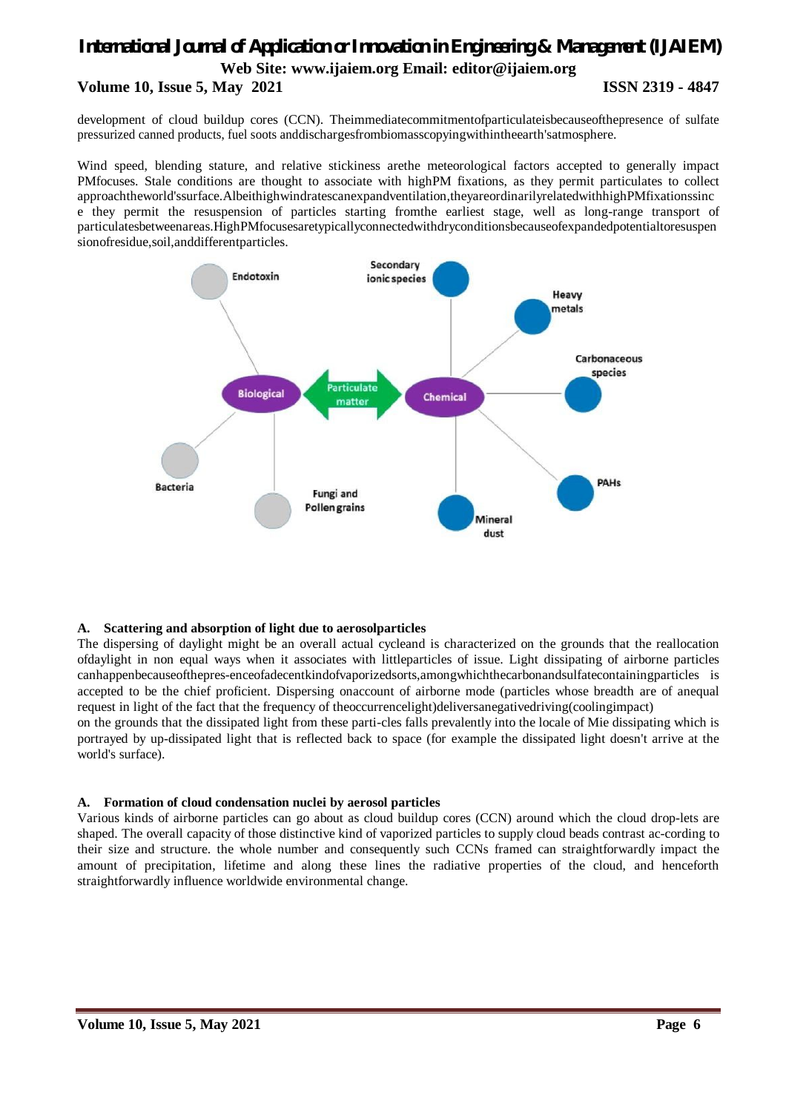# *International Journal of Application or Innovation in Engineering & Management (IJAIEM)* **Web Site: www.ijaiem.org Email: editor@ijaiem.org Volume 10, Issue 5, May 2021 ISSN 2319 - 4847**

development of cloud buildup cores (CCN). Theimmediatecommitmentofparticulateisbecauseofthepresence of sulfate pressurized canned products, fuel soots anddischargesfrombiomasscopyingwithintheearth'satmosphere.

Wind speed, blending stature, and relative stickiness arethe meteorological factors accepted to generally impact PMfocuses. Stale conditions are thought to associate with highPM fixations, as they permit particulates to collect approachtheworld'ssurface.Albeithighwindratescanexpandventilation,theyareordinarilyrelatedwithhighPMfixationssinc e they permit the resuspension of particles starting fromthe earliest stage, well as long-range transport of particulatesbetweenareas.HighPMfocusesaretypicallyconnectedwithdryconditionsbecauseofexpandedpotentialtoresuspen sionofresidue,soil,anddifferentparticles.



# **A. Scattering and absorption of light due to aerosolparticles**

The dispersing of daylight might be an overall actual cycleand is characterized on the grounds that the reallocation ofdaylight in non equal ways when it associates with littleparticles of issue. Light dissipating of airborne particles canhappenbecauseofthepres-enceofadecentkindofvaporizedsorts,amongwhichthecarbonandsulfatecontainingparticles is accepted to be the chief proficient. Dispersing onaccount of airborne mode (particles whose breadth are of anequal request in light of the fact that the frequency of theoccurrencelight)deliversanegativedriving(coolingimpact)

on the grounds that the dissipated light from these parti-cles falls prevalently into the locale of Mie dissipating which is portrayed by up-dissipated light that is reflected back to space (for example the dissipated light doesn't arrive at the world's surface).

# **A. Formation of cloud condensation nuclei by aerosol particles**

Various kinds of airborne particles can go about as cloud buildup cores (CCN) around which the cloud drop-lets are shaped. The overall capacity of those distinctive kind of vaporized particles to supply cloud beads contrast ac-cording to their size and structure. the whole number and consequently such CCNs framed can straightforwardly impact the amount of precipitation, lifetime and along these lines the radiative properties of the cloud, and henceforth straightforwardly influence worldwide environmental change.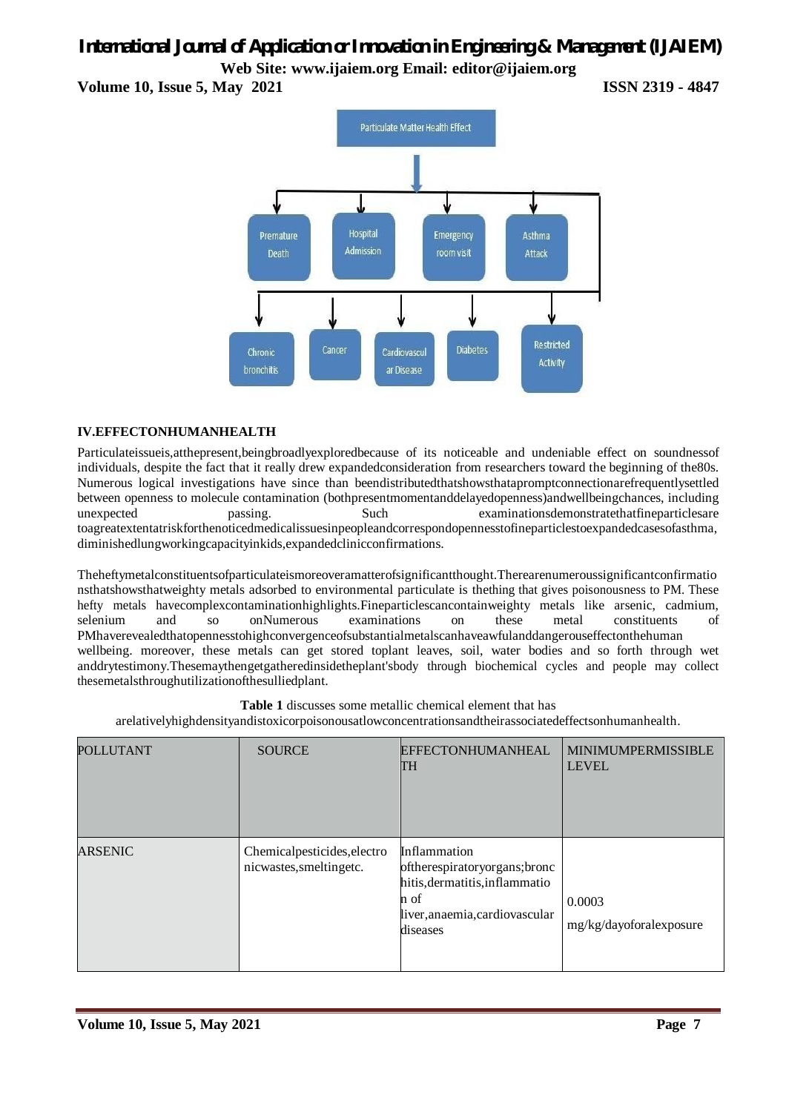**Volume 10, Issue 5, May 2021 ISSN 2319 - 4847**



# **IV.EFFECTONHUMANHEALTH**

Particulateissueis,atthepresent,beingbroadlyexploredbecause of its noticeable and undeniable effect on soundnessof individuals, despite the fact that it really drew expandedconsideration from researchers toward the beginning of the80s. Numerous logical investigations have since than beendistributedthatshowsthatapromptconnectionarefrequentlysettled between openness to molecule contamination (bothpresentmomentanddelayedopenness)andwellbeingchances, including unexpected passing. Such examinationsdemonstratethatfineparticlesare toagreatextentatriskforthenoticedmedicalissuesinpeopleandcorrespondopennesstofineparticlestoexpandedcasesofasthma, diminishedlungworkingcapacityinkids,expandedclinicconfirmations.

Theheftymetalconstituentsofparticulateismoreoveramatterofsignificantthought.Therearenumeroussignificantconfirmatio nsthatshowsthatweighty metals adsorbed to environmental particulate is thething that gives poisonousness to PM. These hefty metals havecomplexcontaminationhighlights.Fineparticlescancontainweighty metals like arsenic, cadmium, selenium and so onNumerous examinations on these metal constituents of PMhaverevealedthatopennesstohighconvergenceofsubstantialmetalscanhaveawfulanddangerouseffectonthehuman wellbeing. moreover, these metals can get stored toplant leaves, soil, water bodies and so forth through wet anddrytestimony.Thesemaythengetgatheredinsidetheplant'sbody through biochemical cycles and people may collect thesemetalsthroughutilizationofthesulliedplant.

| <b>Table 1</b> discusses some metallic chemical element that has                                      |                    |                   |                              |  |  |
|-------------------------------------------------------------------------------------------------------|--------------------|-------------------|------------------------------|--|--|
| arelativelyhighdensityandistoxicorpoisonousatlowconcentrationsandtheirassociatedeffectsonhumanhealth. |                    |                   |                              |  |  |
| <b>ITTANT</b>                                                                                         | $S$ $O$ I ID $C$ E | EFFECTONHUMANHEAL | <b>I MINIMI IMPERMISSIRI</b> |  |  |

| POLLUTANT      | <b>SOURCE</b>                                          | <b>EFFECTONHUMANHEAL</b><br><b>TH</b>                                                                                                 | <b>MINIMUMPERMISSIBLE</b><br><b>LEVEL</b> |
|----------------|--------------------------------------------------------|---------------------------------------------------------------------------------------------------------------------------------------|-------------------------------------------|
| <b>ARSENIC</b> | Chemicalpesticides, electro<br>nicwastes, smeltingetc. | Inflammation<br>oftherespiratoryorgans; bronc<br>hitis, dermatitis, inflammatio<br>n of<br>liver, anaemia, cardiovascular<br>diseases | 0.0003<br>mg/kg/dayoforalexposure         |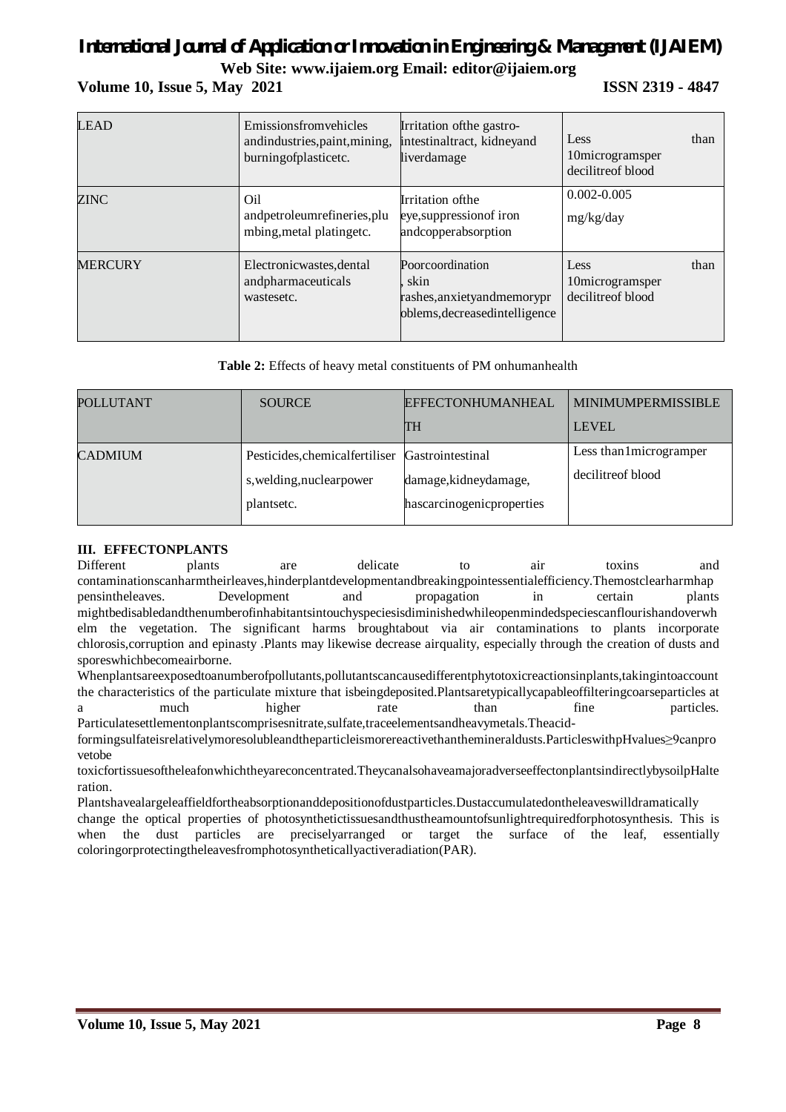# *International Journal of Application or Innovation in Engineering & Management (IJAIEM)*

**Web Site: www.ijaiem.org Email: editor@ijaiem.org**

# **Volume 10, Issue 5, May 2021 ISSN 2319 - 4847**

| <b>LEAD</b>    | Emissionsfromvehicles<br>andindustries, paint, mining,<br>burningofplasticetc. | Irritation of the gastro-<br>intestinaltract, kidneyand<br>liverdamage                      | Less<br>10microgramsper<br>decilitre of blood | than |
|----------------|--------------------------------------------------------------------------------|---------------------------------------------------------------------------------------------|-----------------------------------------------|------|
| ZINC           | Oil<br>andpetroleumrefineries, plu<br>mbing, metal platingetc.                 | Irritation of the<br>eye, suppression of iron<br>andcopperabsorption                        | $0.002 - 0.005$<br>mg/kg/day                  |      |
| <b>MERCURY</b> | Electronicwastes, dental<br>andpharmaceuticals<br>wastesetc.                   | Poorcoordination<br>skin<br>rashes, anxiety and memory pr<br>oblems, decreased intelligence | Less<br>10microgramsper<br>decilitreof blood  | than |

**Table 2:** Effects of heavy metal constituents of PM onhumanhealth

| POLLUTANT      | <b>SOURCE</b>                                                             | <b>EFFECTONHUMANHEAL</b><br><b>TH</b>                                  | <b>MINIMUMPERMISSIBLE</b><br><b>LEVEL</b>      |
|----------------|---------------------------------------------------------------------------|------------------------------------------------------------------------|------------------------------------------------|
| <b>CADMIUM</b> | Pesticides, chemical fertiliser<br>s, welding, nuclearpower<br>plantsetc. | Gastrointestinal<br>damage, kidneydamage,<br>hascarcinogenicproperties | Less than 1 microgramper<br>decilitre of blood |

### **III. EFFECTONPLANTS**

Different plants are delicate to air toxins and contaminationscanharmtheirleaves,hinderplantdevelopmentandbreakingpointessentialefficiency.Themostclearharmhap pensintheleaves. Development and propagation in certain plants mightbedisabledandthenumberofinhabitantsintouchyspeciesisdiminishedwhileopenmindedspeciescanflourishandoverwh elm the vegetation. The significant harms broughtabout via air contaminations to plants incorporate chlorosis,corruption and epinasty .Plants may likewise decrease airquality, especially through the creation of dusts and sporeswhichbecomeairborne.

Whenplantsareexposedtoanumberofpollutants,pollutantscancausedifferentphytotoxicreactionsinplants,takingintoaccount the characteristics of the particulate mixture that isbeingdeposited.Plantsaretypicallycapableoffilteringcoarseparticles at a much higher rate than fine particles. Particulatesettlementonplantscomprisesnitrate,sulfate,traceelementsandheavymetals.Theacid-

formingsulfateisrelativelymoresolubleandtheparticleismorereactivethanthemineraldusts.ParticleswithpHvalues≥9canpro vetobe

toxicfortissuesoftheleafonwhichtheyareconcentrated.TheycanalsohaveamajoradverseeffectonplantsindirectlybysoilpHalte ration.

Plantshavealargeleaffieldfortheabsorptionanddepositionofdustparticles.Dustaccumulatedontheleaveswilldramatically change the optical properties of photosynthetictissuesandthustheamountofsunlightrequiredforphotosynthesis. This is when the dust particles are preciselyarranged or target the surface of the leaf, essentially coloringorprotectingtheleavesfromphotosyntheticallyactiveradiation(PAR).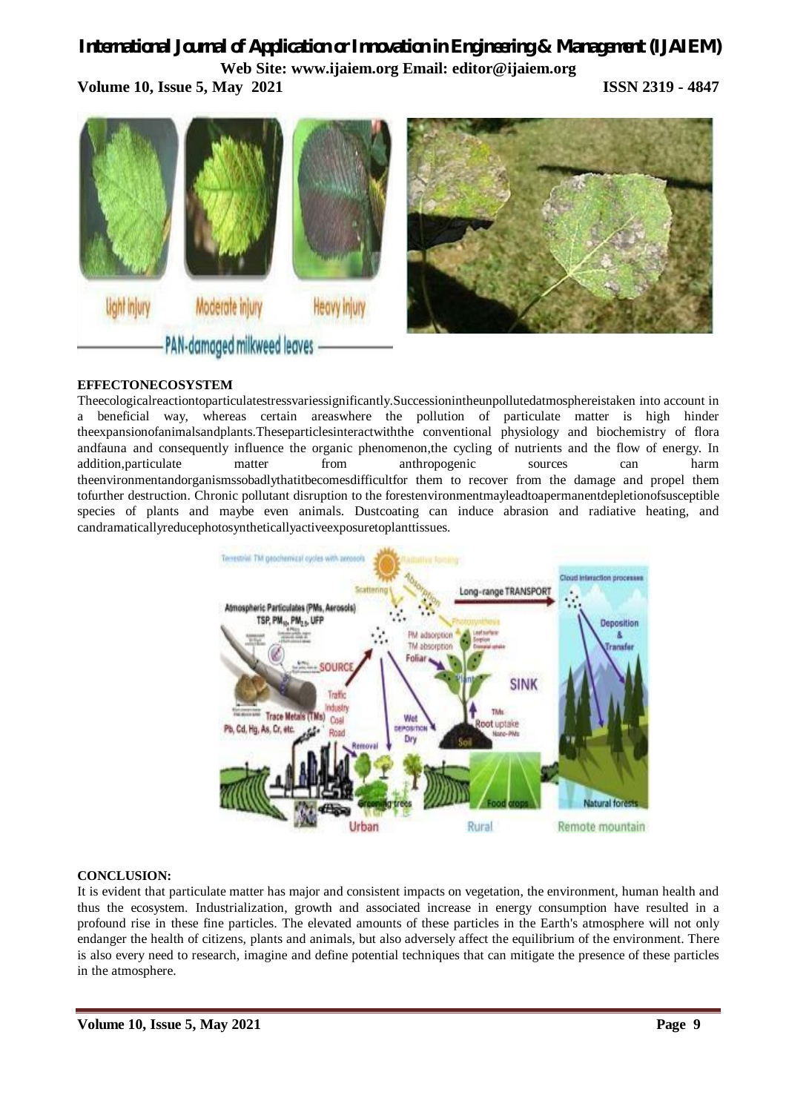**Volume 10, Issue 5, May 2021 ISSN 2319 - 4847**



# **EFFECTONECOSYSTEM**

Theecologicalreactiontoparticulatestressvariessignificantly.Successionintheunpollutedatmosphereistaken into account in a beneficial way, whereas certain areaswhere the pollution of particulate matter is high hinder theexpansionofanimalsandplants.Theseparticlesinteractwiththe conventional physiology and biochemistry of flora andfauna and consequently influence the organic phenomenon,the cycling of nutrients and the flow of energy. In addition,particulate matter from anthropogenic sources can harm theenvironmentandorganismssobadlythatitbecomesdifficultfor them to recover from the damage and propel them tofurther destruction. Chronic pollutant disruption to the forestenvironmentmayleadtoapermanentdepletionofsusceptible species of plants and maybe even animals. Dustcoating can induce abrasion and radiative heating, and candramaticallyreducephotosyntheticallyactiveexposuretoplanttissues.



### **CONCLUSION:**

It is evident that particulate matter has major and consistent impacts on vegetation, the environment, human health and thus the ecosystem. Industrialization, growth and associated increase in energy consumption have resulted in a profound rise in these fine particles. The elevated amounts of these particles in the Earth's atmosphere will not only endanger the health of citizens, plants and animals, but also adversely affect the equilibrium of the environment. There is also every need to research, imagine and define potential techniques that can mitigate the presence of these particles in the atmosphere.